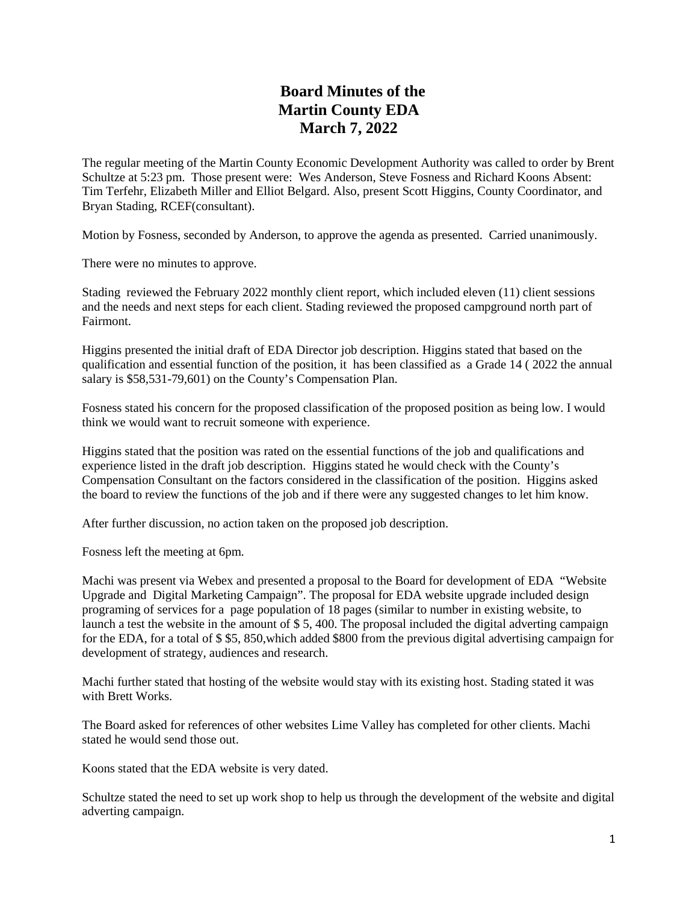## **Board Minutes of the Martin County EDA March 7, 2022**

The regular meeting of the Martin County Economic Development Authority was called to order by Brent Schultze at 5:23 pm. Those present were: Wes Anderson, Steve Fosness and Richard Koons Absent: Tim Terfehr, Elizabeth Miller and Elliot Belgard. Also, present Scott Higgins, County Coordinator, and Bryan Stading, RCEF(consultant).

Motion by Fosness, seconded by Anderson, to approve the agenda as presented. Carried unanimously.

There were no minutes to approve.

Stading reviewed the February 2022 monthly client report, which included eleven (11) client sessions and the needs and next steps for each client. Stading reviewed the proposed campground north part of Fairmont.

Higgins presented the initial draft of EDA Director job description. Higgins stated that based on the qualification and essential function of the position, it has been classified as a Grade 14 ( 2022 the annual salary is \$58,531-79,601) on the County's Compensation Plan.

Fosness stated his concern for the proposed classification of the proposed position as being low. I would think we would want to recruit someone with experience.

Higgins stated that the position was rated on the essential functions of the job and qualifications and experience listed in the draft job description. Higgins stated he would check with the County's Compensation Consultant on the factors considered in the classification of the position. Higgins asked the board to review the functions of the job and if there were any suggested changes to let him know.

After further discussion, no action taken on the proposed job description.

Fosness left the meeting at 6pm.

Machi was present via Webex and presented a proposal to the Board for development of EDA "Website Upgrade and Digital Marketing Campaign". The proposal for EDA website upgrade included design programing of services for a page population of 18 pages (similar to number in existing website, to launch a test the website in the amount of \$ 5, 400. The proposal included the digital adverting campaign for the EDA, for a total of \$ \$5, 850,which added \$800 from the previous digital advertising campaign for development of strategy, audiences and research.

Machi further stated that hosting of the website would stay with its existing host. Stading stated it was with Brett Works.

The Board asked for references of other websites Lime Valley has completed for other clients. Machi stated he would send those out.

Koons stated that the EDA website is very dated.

Schultze stated the need to set up work shop to help us through the development of the website and digital adverting campaign.